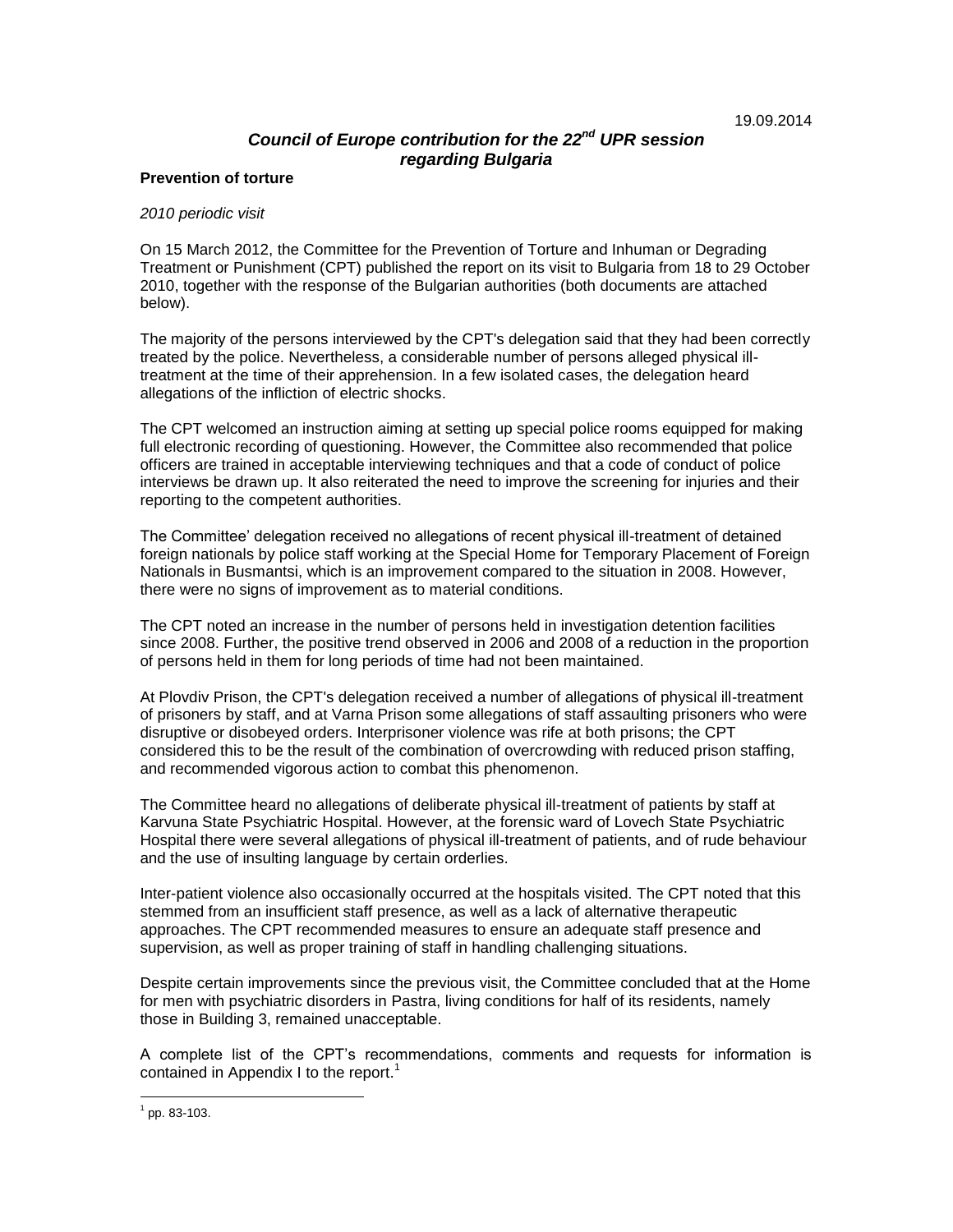# *Council of Europe contribution for the 22 nd UPR session regarding Bulgaria*

#### **Prevention of torture**

#### *2010 periodic visit*

On 15 March 2012, the Committee for the Prevention of Torture and Inhuman or Degrading Treatment or Punishment (CPT) published the report on its visit to Bulgaria from 18 to 29 October 2010, together with the response of the Bulgarian authorities (both documents are attached below).

The majority of the persons interviewed by the CPT's delegation said that they had been correctly treated by the police. Nevertheless, a considerable number of persons alleged physical illtreatment at the time of their apprehension. In a few isolated cases, the delegation heard allegations of the infliction of electric shocks.

The CPT welcomed an instruction aiming at setting up special police rooms equipped for making full electronic recording of questioning. However, the Committee also recommended that police officers are trained in acceptable interviewing techniques and that a code of conduct of police interviews be drawn up. It also reiterated the need to improve the screening for injuries and their reporting to the competent authorities.

The Committee' delegation received no allegations of recent physical ill-treatment of detained foreign nationals by police staff working at the Special Home for Temporary Placement of Foreign Nationals in Busmantsi, which is an improvement compared to the situation in 2008. However, there were no signs of improvement as to material conditions.

The CPT noted an increase in the number of persons held in investigation detention facilities since 2008. Further, the positive trend observed in 2006 and 2008 of a reduction in the proportion of persons held in them for long periods of time had not been maintained.

At Plovdiv Prison, the CPT's delegation received a number of allegations of physical ill-treatment of prisoners by staff, and at Varna Prison some allegations of staff assaulting prisoners who were disruptive or disobeyed orders. Interprisoner violence was rife at both prisons; the CPT considered this to be the result of the combination of overcrowding with reduced prison staffing, and recommended vigorous action to combat this phenomenon.

The Committee heard no allegations of deliberate physical ill-treatment of patients by staff at Karvuna State Psychiatric Hospital. However, at the forensic ward of Lovech State Psychiatric Hospital there were several allegations of physical ill-treatment of patients, and of rude behaviour and the use of insulting language by certain orderlies.

Inter-patient violence also occasionally occurred at the hospitals visited. The CPT noted that this stemmed from an insufficient staff presence, as well as a lack of alternative therapeutic approaches. The CPT recommended measures to ensure an adequate staff presence and supervision, as well as proper training of staff in handling challenging situations.

Despite certain improvements since the previous visit, the Committee concluded that at the Home for men with psychiatric disorders in Pastra, living conditions for half of its residents, namely those in Building 3, remained unacceptable.

A complete list of the CPT's recommendations, comments and requests for information is contained in Appendix I to the report.<sup>1</sup>

 $\overline{a}$ 

 $1$  pp. 83-103.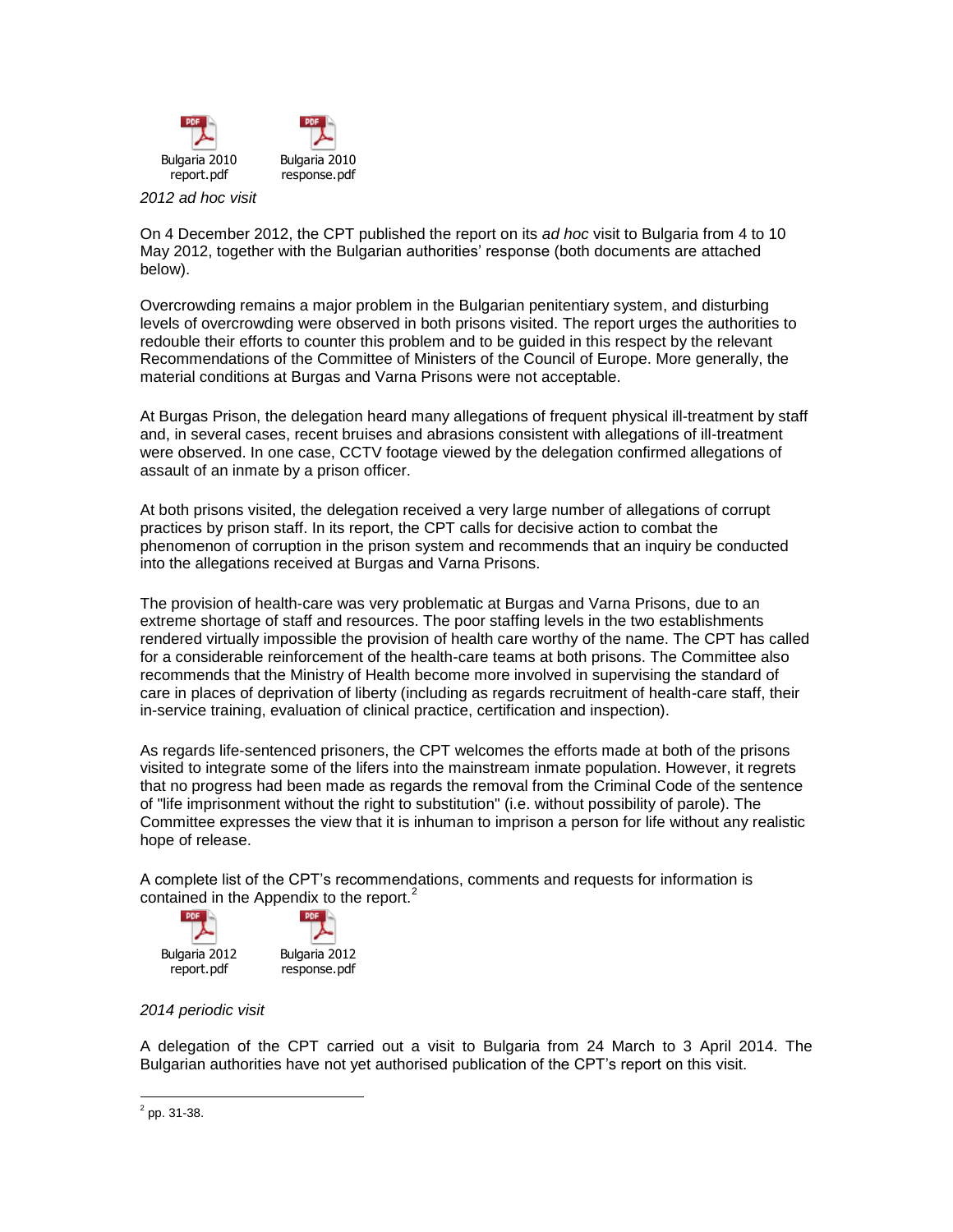

*2012 ad hoc visit*

On 4 December 2012, the CPT published the report on its *ad hoc* visit to Bulgaria from 4 to 10 May 2012, together with the Bulgarian authorities' response (both documents are attached below).

Overcrowding remains a major problem in the Bulgarian penitentiary system, and disturbing levels of overcrowding were observed in both prisons visited. The report urges the authorities to redouble their efforts to counter this problem and to be guided in this respect by the relevant Recommendations of the Committee of Ministers of the Council of Europe. More generally, the material conditions at Burgas and Varna Prisons were not acceptable.

At Burgas Prison, the delegation heard many allegations of frequent physical ill-treatment by staff and, in several cases, recent bruises and abrasions consistent with allegations of ill-treatment were observed. In one case, CCTV footage viewed by the delegation confirmed allegations of assault of an inmate by a prison officer.

At both prisons visited, the delegation received a very large number of allegations of corrupt practices by prison staff. In its report, the CPT calls for decisive action to combat the phenomenon of corruption in the prison system and recommends that an inquiry be conducted into the allegations received at Burgas and Varna Prisons.

The provision of health-care was very problematic at Burgas and Varna Prisons, due to an extreme shortage of staff and resources. The poor staffing levels in the two establishments rendered virtually impossible the provision of health care worthy of the name. The CPT has called for a considerable reinforcement of the health-care teams at both prisons. The Committee also recommends that the Ministry of Health become more involved in supervising the standard of care in places of deprivation of liberty (including as regards recruitment of health-care staff, their in-service training, evaluation of clinical practice, certification and inspection).

As regards life-sentenced prisoners, the CPT welcomes the efforts made at both of the prisons visited to integrate some of the lifers into the mainstream inmate population. However, it regrets that no progress had been made as regards the removal from the Criminal Code of the sentence of "life imprisonment without the right to substitution" (i.e. without possibility of parole). The Committee expresses the view that it is inhuman to imprison a person for life without any realistic hope of release.

A complete list of the CPT's recommendations, comments and requests for information is contained in the Appendix to the report.<sup>2</sup>



### *2014 periodic visit*

A delegation of the CPT carried out a visit to Bulgaria from 24 March to 3 April 2014. The Bulgarian authorities have not yet authorised publication of the CPT's report on this visit.

 $\frac{1}{2}$  pp. 31-38.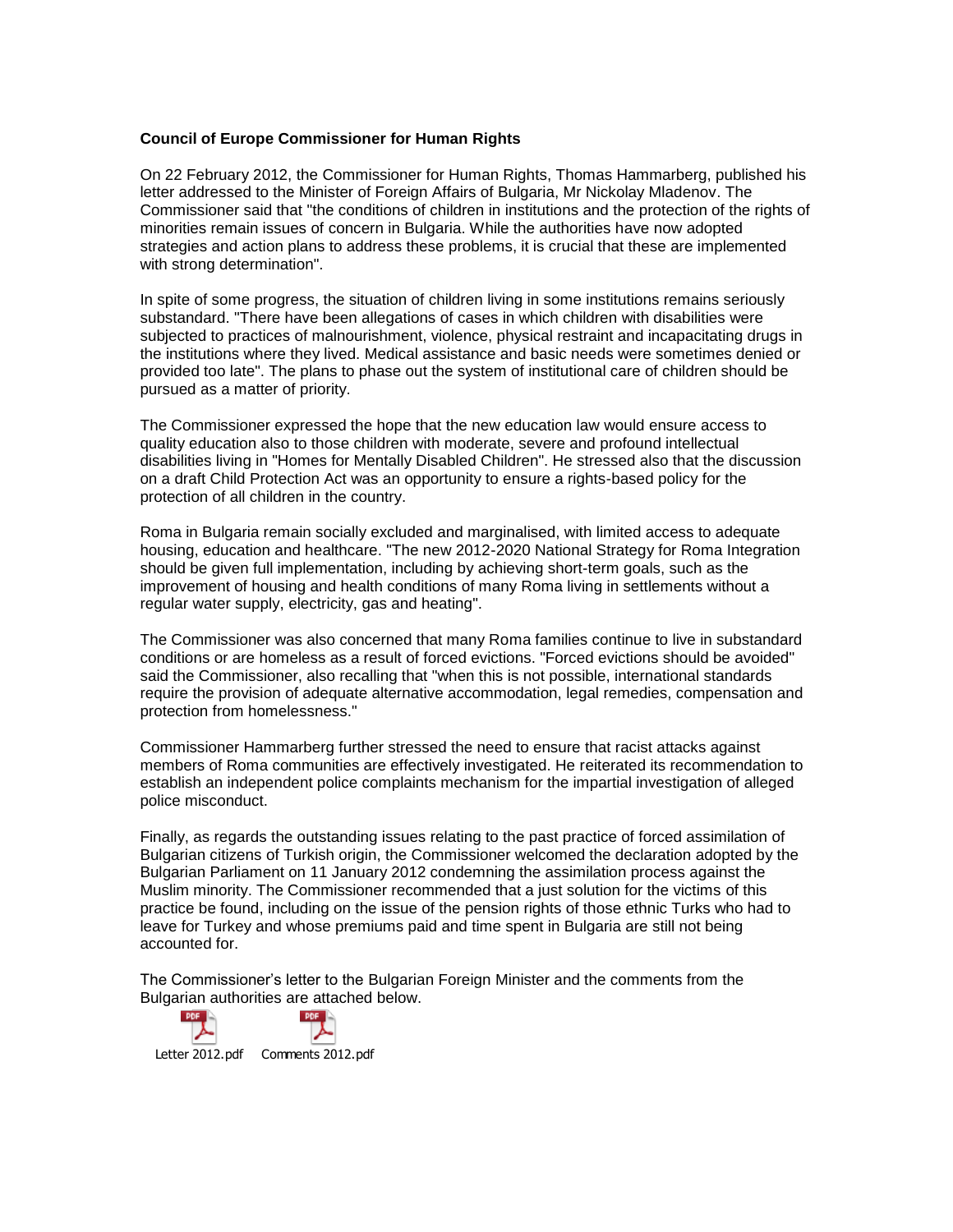#### **Council of Europe Commissioner for Human Rights**

On 22 February 2012, the Commissioner for Human Rights, Thomas Hammarberg, published his letter addressed to the Minister of Foreign Affairs of Bulgaria, Mr Nickolay Mladenov. The Commissioner said that "the conditions of children in institutions and the protection of the rights of minorities remain issues of concern in Bulgaria. While the authorities have now adopted strategies and action plans to address these problems, it is crucial that these are implemented with strong determination".

In spite of some progress, the situation of children living in some institutions remains seriously substandard. "There have been allegations of cases in which children with disabilities were subjected to practices of malnourishment, violence, physical restraint and incapacitating drugs in the institutions where they lived. Medical assistance and basic needs were sometimes denied or provided too late". The plans to phase out the system of institutional care of children should be pursued as a matter of priority.

The Commissioner expressed the hope that the new education law would ensure access to quality education also to those children with moderate, severe and profound intellectual disabilities living in "Homes for Mentally Disabled Children". He stressed also that the discussion on a draft Child Protection Act was an opportunity to ensure a rights-based policy for the protection of all children in the country.

Roma in Bulgaria remain socially excluded and marginalised, with limited access to adequate housing, education and healthcare. "The new 2012-2020 National Strategy for Roma Integration should be given full implementation, including by achieving short-term goals, such as the improvement of housing and health conditions of many Roma living in settlements without a regular water supply, electricity, gas and heating".

The Commissioner was also concerned that many Roma families continue to live in substandard conditions or are homeless as a result of forced evictions. "Forced evictions should be avoided" said the Commissioner, also recalling that "when this is not possible, international standards require the provision of adequate alternative accommodation, legal remedies, compensation and protection from homelessness."

Commissioner Hammarberg further stressed the need to ensure that racist attacks against members of Roma communities are effectively investigated. He reiterated its recommendation to establish an independent police complaints mechanism for the impartial investigation of alleged police misconduct.

Finally, as regards the outstanding issues relating to the past practice of forced assimilation of Bulgarian citizens of Turkish origin, the Commissioner welcomed the declaration adopted by the Bulgarian Parliament on 11 January 2012 condemning the assimilation process against the Muslim minority. The Commissioner recommended that a just solution for the victims of this practice be found, including on the issue of the pension rights of those ethnic Turks who had to leave for Turkey and whose premiums paid and time spent in Bulgaria are still not being accounted for.

The Commissioner's letter to the Bulgarian Foreign Minister and the comments from the Bulgarian authorities are attached below.



Letter 2012.pdf Comments 2012.pdf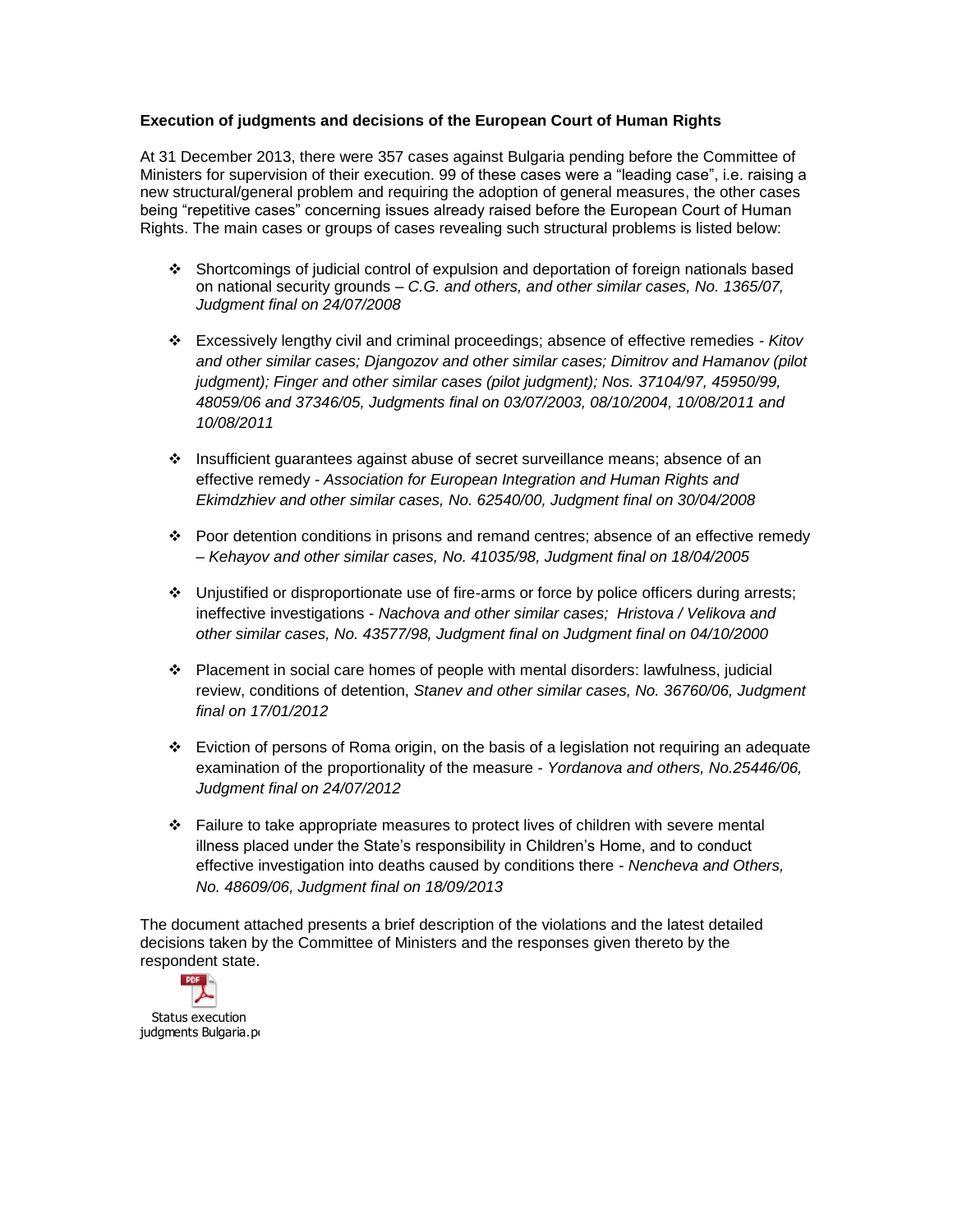# **Execution of judgments and decisions of the European Court of Human Rights**

At 31 December 2013, there were 357 cases against Bulgaria pending before the Committee of Ministers for supervision of their execution. 99 of these cases were a "leading case", i.e. raising a new structural/general problem and requiring the adoption of general measures, the other cases being "repetitive cases" concerning issues already raised before the European Court of Human Rights. The main cases or groups of cases revealing such structural problems is listed below:

- Shortcomings of judicial control of expulsion and deportation of foreign nationals based on national security grounds – *C.G. and others, and other similar cases, No. 1365/07, Judgment final on 24/07/2008*
- Excessively lengthy civil and criminal proceedings; absence of effective remedies *Kitov and other similar cases; Djangozov and other similar cases; Dimitrov and Hamanov (pilot judgment); Finger and other similar cases (pilot judgment); Nos. 37104/97, 45950/99, 48059/06 and 37346/05, Judgments final on 03/07/2003, 08/10/2004, 10/08/2011 and 10/08/2011*
- Insufficient guarantees against abuse of secret surveillance means; absence of an effective remedy *- Association for European Integration and Human Rights and Ekimdzhiev and other similar cases, No. 62540/00, Judgment final on 30/04/2008*
- $\cdot \cdot$  Poor detention conditions in prisons and remand centres; absence of an effective remedy – *Kehayov and other similar cases, No. 41035/98, Judgment final on 18/04/2005*
- Unjustified or disproportionate use of fire-arms or force by police officers during arrests; ineffective investigations - *Nachova and other similar cases; Hristova / Velikova and other similar cases, No. 43577/98, Judgment final on Judgment final on 04/10/2000*
- Placement in social care homes of people with mental disorders: lawfulness, judicial review, conditions of detention, *Stanev and other similar cases, No. 36760/06, Judgment final on 17/01/2012*
- Eviction of persons of Roma origin, on the basis of a legislation not requiring an adequate examination of the proportionality of the measure - *Yordanova and others, No.25446/06, Judgment final on 24/07/2012*
- $\div$  Failure to take appropriate measures to protect lives of children with severe mental illness placed under the State's responsibility in Children's Home, and to conduct effective investigation into deaths caused by conditions there - *Nencheva and Others, No. 48609/06, Judgment final on 18/09/2013*

The document attached presents a brief description of the violations and the latest detailed decisions taken by the Committee of Ministers and the responses given thereto by the respondent state.

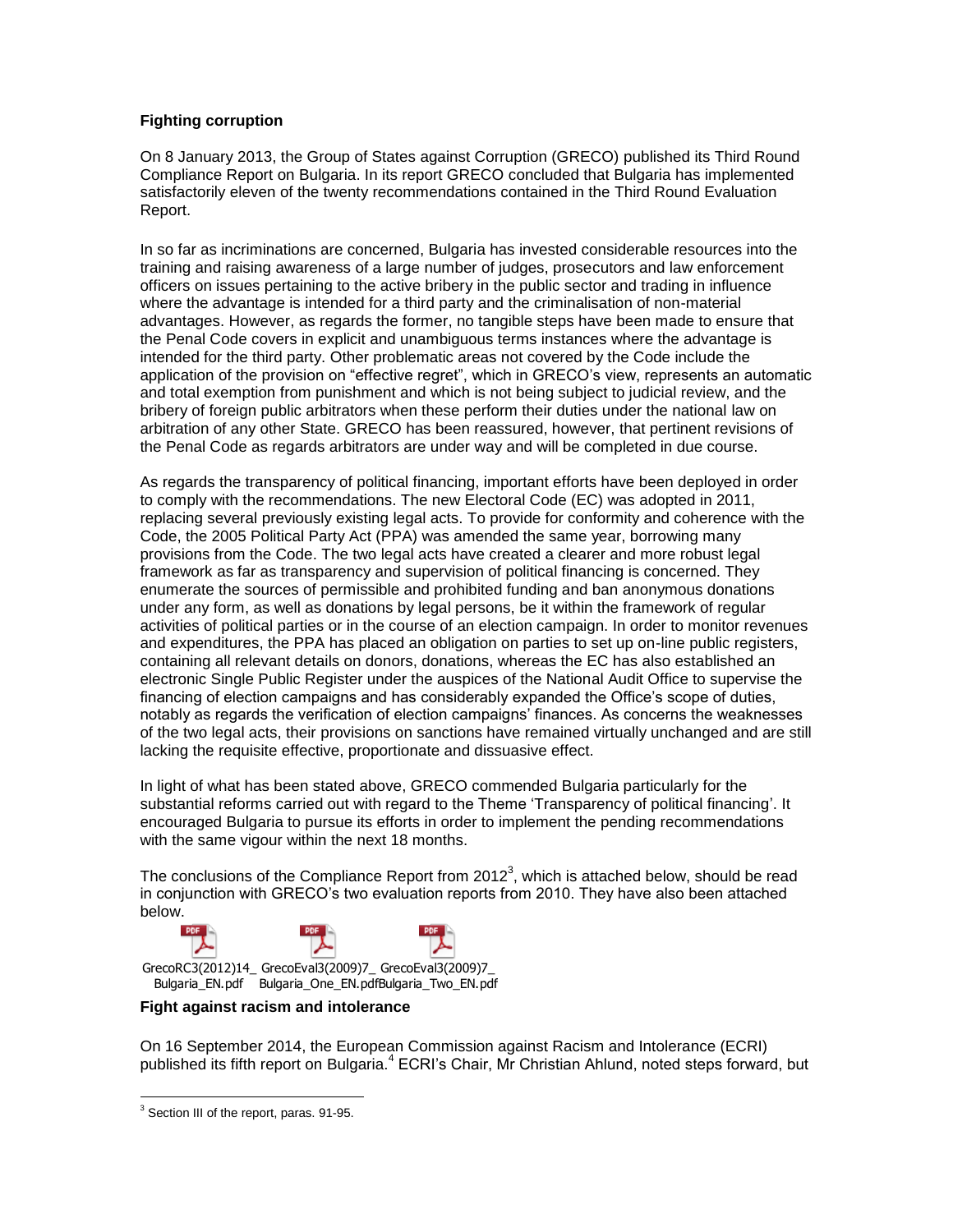# **Fighting corruption**

On 8 January 2013, the Group of States against Corruption (GRECO) published its Third Round Compliance Report on Bulgaria. In its report GRECO concluded that Bulgaria has implemented satisfactorily eleven of the twenty recommendations contained in the Third Round Evaluation Report.

In so far as incriminations are concerned, Bulgaria has invested considerable resources into the training and raising awareness of a large number of judges, prosecutors and law enforcement officers on issues pertaining to the active bribery in the public sector and trading in influence where the advantage is intended for a third party and the criminalisation of non-material advantages. However, as regards the former, no tangible steps have been made to ensure that the Penal Code covers in explicit and unambiguous terms instances where the advantage is intended for the third party. Other problematic areas not covered by the Code include the application of the provision on "effective regret", which in GRECO's view, represents an automatic and total exemption from punishment and which is not being subject to judicial review, and the bribery of foreign public arbitrators when these perform their duties under the national law on arbitration of any other State. GRECO has been reassured, however, that pertinent revisions of the Penal Code as regards arbitrators are under way and will be completed in due course.

As regards the transparency of political financing, important efforts have been deployed in order to comply with the recommendations. The new Electoral Code (EC) was adopted in 2011, replacing several previously existing legal acts. To provide for conformity and coherence with the Code, the 2005 Political Party Act (PPA) was amended the same year, borrowing many provisions from the Code. The two legal acts have created a clearer and more robust legal framework as far as transparency and supervision of political financing is concerned. They enumerate the sources of permissible and prohibited funding and ban anonymous donations under any form, as well as donations by legal persons, be it within the framework of regular activities of political parties or in the course of an election campaign. In order to monitor revenues and expenditures, the PPA has placed an obligation on parties to set up on-line public registers, containing all relevant details on donors, donations, whereas the EC has also established an electronic Single Public Register under the auspices of the National Audit Office to supervise the financing of election campaigns and has considerably expanded the Office's scope of duties, notably as regards the verification of election campaigns' finances. As concerns the weaknesses of the two legal acts, their provisions on sanctions have remained virtually unchanged and are still lacking the requisite effective, proportionate and dissuasive effect.

In light of what has been stated above, GRECO commended Bulgaria particularly for the substantial reforms carried out with regard to the Theme 'Transparency of political financing'. It encouraged Bulgaria to pursue its efforts in order to implement the pending recommendations with the same vigour within the next 18 months.

The conclusions of the Compliance Report from 2012<sup>3</sup>, which is attached below, should be read in conjunction with GRECO's two evaluation reports from 2010. They have also been attached below.



# **Fight against racism and intolerance**

On 16 September 2014, the European Commission against Racism and Intolerance (ECRI) published its fifth report on Bulgaria.<sup>4</sup> ECRI's Chair, Mr Christian Ahlund, noted steps forward, but

 $\overline{a}$ <sup>3</sup> Section III of the report, paras. 91-95.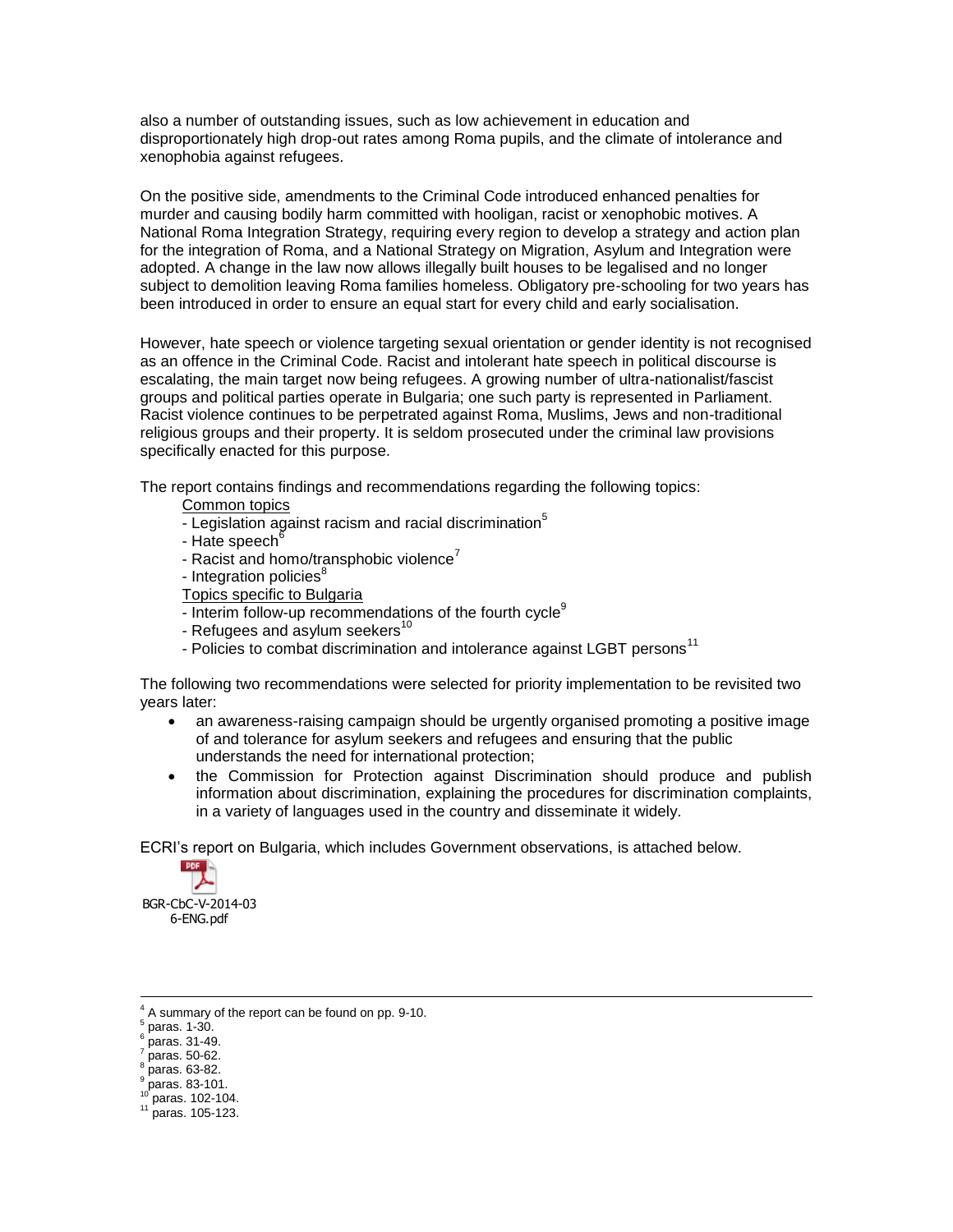also a number of outstanding issues, such as low achievement in education and disproportionately high drop-out rates among Roma pupils, and the climate of intolerance and xenophobia against refugees.

On the positive side, amendments to the Criminal Code introduced enhanced penalties for murder and causing bodily harm committed with hooligan, racist or xenophobic motives. A National Roma Integration Strategy, requiring every region to develop a strategy and action plan for the integration of Roma, and a National Strategy on Migration, Asylum and Integration were adopted. A change in the law now allows illegally built houses to be legalised and no longer subject to demolition leaving Roma families homeless. Obligatory pre-schooling for two years has been introduced in order to ensure an equal start for every child and early socialisation.

However, hate speech or violence targeting sexual orientation or gender identity is not recognised as an offence in the Criminal Code. Racist and intolerant hate speech in political discourse is escalating, the main target now being refugees. A growing number of ultra-nationalist/fascist groups and political parties operate in Bulgaria; one such party is represented in Parliament. Racist violence continues to be perpetrated against Roma, Muslims, Jews and non-traditional religious groups and their property. It is seldom prosecuted under the criminal law provisions specifically enacted for this purpose.

The report contains findings and recommendations regarding the following topics:

- Common topics
- Legislation against racism and racial discrimination<sup>5</sup>
- Hate speech<sup>6</sup>
- Racist and homo/transphobic violence<sup>7</sup>
- Integration policies<sup>8</sup>
- Topics specific to Bulgaria
- Interim follow-up recommendations of the fourth cycle<sup>9</sup>
- Refugees and asylum seekers $10$
- Policies to combat discrimination and intolerance against LGBT persons<sup>11</sup>

The following two recommendations were selected for priority implementation to be revisited two years later:

- an awareness-raising campaign should be urgently organised promoting a positive image of and tolerance for asylum seekers and refugees and ensuring that the public understands the need for international protection;
- the Commission for Protection against Discrimination should produce and publish information about discrimination, explaining the procedures for discrimination complaints, in a variety of languages used in the country and disseminate it widely.

ECRI's report on Bulgaria, which includes Government observations, is attached below.



BGR-CbC-V-2014-03 6-ENG.pdf

 $\overline{a}$ 

- 8 paras. 63-82.
- 9 paras. 83-101.

 $11$  paras. 105-123.

 $^{4}$  A summary of the report can be found on pp. 9-10.

paras. 1-30.

<sup>6</sup> paras. 31-49.

<sup>7</sup> paras. 50-62.

paras. 102-104.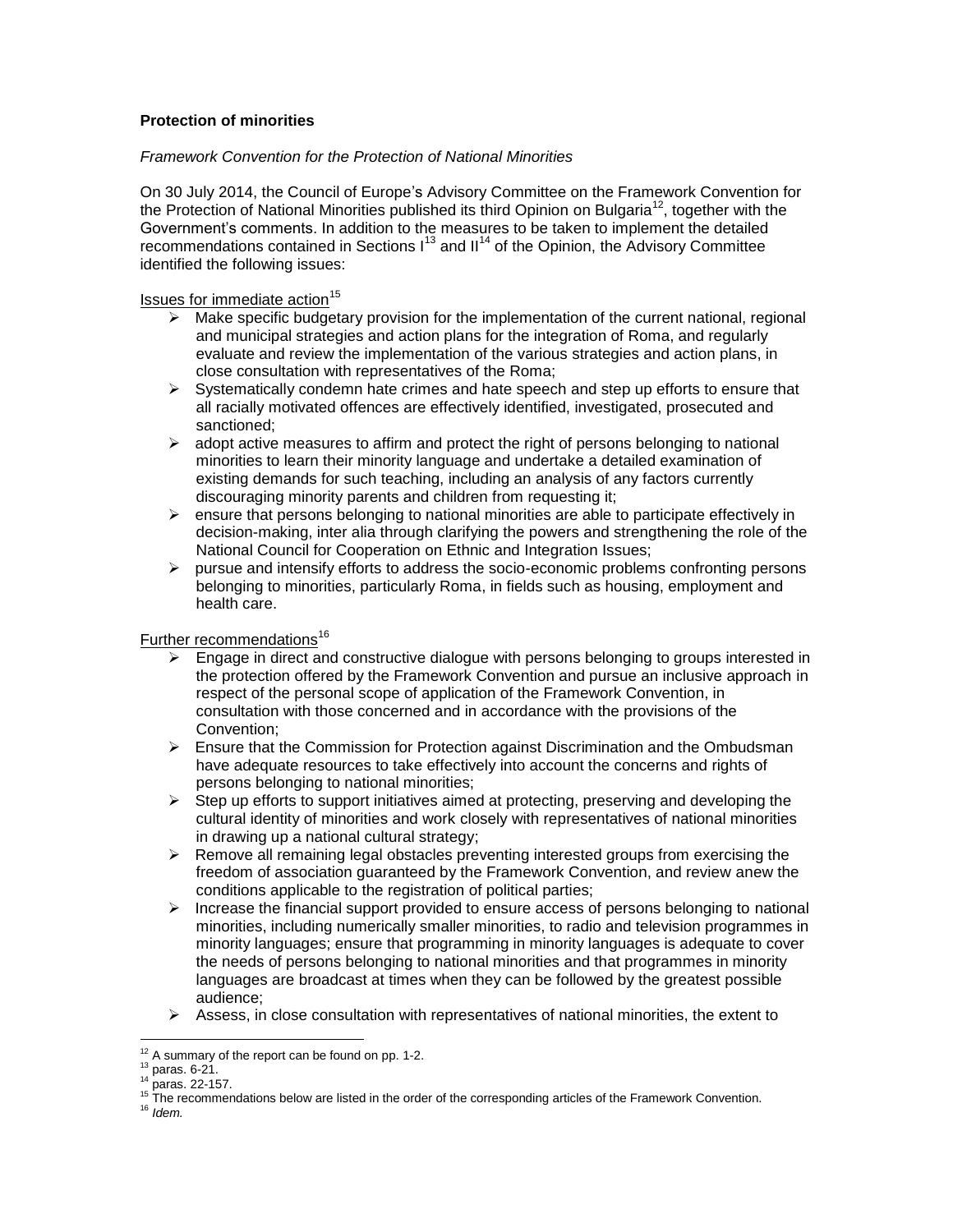# **Protection of minorities**

# *Framework Convention for the Protection of National Minorities*

On 30 July 2014, the Council of Europe's Advisory Committee on the Framework Convention for the Protection of National Minorities published its third Opinion [on B](http://www.coe.int/t/dghl/monitoring/minorities/3_FCNMdocs/PDF_3rd_OP_CzechRepublic_en.pdf)ulgaria<sup>12</sup>, together with the Government's comments. In addition to the measures to be taken to implement the detailed recommendations contained in Sections  $1^{13}$  and II<sup>14</sup> of the Opinion, the Advisory Committee identified the following issues:

Issues for immediate action $15$ 

- $\triangleright$  Make specific budgetary provision for the implementation of the current national, regional and municipal strategies and action plans for the integration of Roma, and regularly evaluate and review the implementation of the various strategies and action plans, in close consultation with representatives of the Roma;
- $\triangleright$  Systematically condemn hate crimes and hate speech and step up efforts to ensure that all racially motivated offences are effectively identified, investigated, prosecuted and sanctioned;
- $\triangleright$  adopt active measures to affirm and protect the right of persons belonging to national minorities to learn their minority language and undertake a detailed examination of existing demands for such teaching, including an analysis of any factors currently discouraging minority parents and children from requesting it;
- $\triangleright$  ensure that persons belonging to national minorities are able to participate effectively in decision-making, inter alia through clarifying the powers and strengthening the role of the National Council for Cooperation on Ethnic and Integration Issues;
- $\triangleright$  pursue and intensify efforts to address the socio-economic problems confronting persons belonging to minorities, particularly Roma, in fields such as housing, employment and health care.

# Further recommendations<sup>16</sup>

- Engage in direct and constructive dialogue with persons belonging to groups interested in the protection offered by the Framework Convention and pursue an inclusive approach in respect of the personal scope of application of the Framework Convention, in consultation with those concerned and in accordance with the provisions of the Convention;
- $\triangleright$  Ensure that the Commission for Protection against Discrimination and the Ombudsman have adequate resources to take effectively into account the concerns and rights of persons belonging to national minorities;
- $\triangleright$  Step up efforts to support initiatives aimed at protecting, preserving and developing the cultural identity of minorities and work closely with representatives of national minorities in drawing up a national cultural strategy;
- $\triangleright$  Remove all remaining legal obstacles preventing interested groups from exercising the freedom of association guaranteed by the Framework Convention, and review anew the conditions applicable to the registration of political parties;
- $\triangleright$  Increase the financial support provided to ensure access of persons belonging to national minorities, including numerically smaller minorities, to radio and television programmes in minority languages; ensure that programming in minority languages is adequate to cover the needs of persons belonging to national minorities and that programmes in minority languages are broadcast at times when they can be followed by the greatest possible audience;
- $\triangleright$  Assess, in close consultation with representatives of national minorities, the extent to

 $\overline{a}$ 

 $12$  A summary of the report can be found on pp. 1-2.

 $^{13}$  paras. 6-21.

<sup>14</sup> paras. 22-157.

<sup>&</sup>lt;sup>15</sup> The recommendations below are listed in the order of the corresponding articles of the Framework Convention.

<sup>16</sup> *Idem.*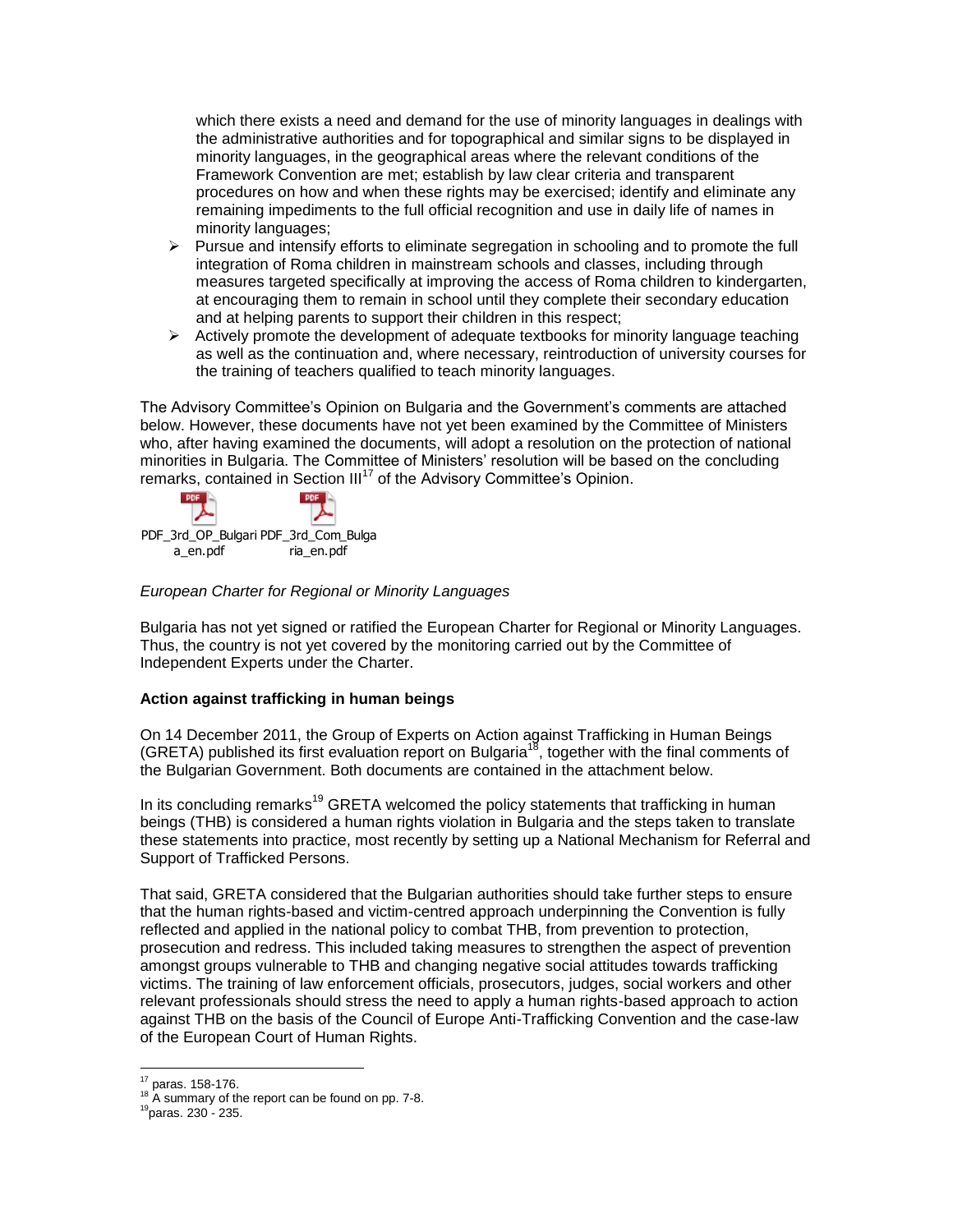which there exists a need and demand for the use of minority languages in dealings with the administrative authorities and for topographical and similar signs to be displayed in minority languages, in the geographical areas where the relevant conditions of the Framework Convention are met; establish by law clear criteria and transparent procedures on how and when these rights may be exercised; identify and eliminate any remaining impediments to the full official recognition and use in daily life of names in minority languages;

- $\triangleright$  Pursue and intensify efforts to eliminate segregation in schooling and to promote the full integration of Roma children in mainstream schools and classes, including through measures targeted specifically at improving the access of Roma children to kindergarten, at encouraging them to remain in school until they complete their secondary education and at helping parents to support their children in this respect;
- $\triangleright$  Actively promote the development of adequate textbooks for minority language teaching as well as the continuation and, where necessary, reintroduction of university courses for the training of teachers qualified to teach minority languages.

The Advisory Committee's Opinion [on B](http://www.coe.int/t/dghl/monitoring/minorities/3_FCNMdocs/PDF_3rd_OP_CzechRepublic_en.pdf)ulgaria and the Government's comments are attached below. However, these documents have not yet been examined by the Committee of Ministers who, after having examined the documents, will adopt a resolution on the protection of national minorities in Bulgaria. The Committee of Ministers' resolution will be based on the concluding remarks, contained in Section III<sup>17</sup> of the Advisory Committee's Opinion.



### *European Charter for Regional or Minority Languages*

Bulgaria has not yet signed or ratified the European Charter for Regional or Minority Languages. Thus, the country is not yet covered by the monitoring carried out by the Committee of Independent Experts under the Charter.

### **Action against trafficking in human beings**

On 14 December 2011, the Group of Experts on Action against Trafficking in Human Beings (GRETA) published its first evaluation report on Bulgaria<sup>18</sup>, together with the final comments of the Bulgarian Government. Both documents are contained in the attachment below.

In its concluding remarks<sup>19</sup> GRETA welcomed the policy statements that trafficking in human beings (THB) is considered a human rights violation in Bulgaria and the steps taken to translate these statements into practice, most recently by setting up a National Mechanism for Referral and Support of Trafficked Persons.

That said, GRETA considered that the Bulgarian authorities should take further steps to ensure that the human rights-based and victim-centred approach underpinning the Convention is fully reflected and applied in the national policy to combat THB, from prevention to protection, prosecution and redress. This included taking measures to strengthen the aspect of prevention amongst groups vulnerable to THB and changing negative social attitudes towards trafficking victims. The training of law enforcement officials, prosecutors, judges, social workers and other relevant professionals should stress the need to apply a human rights-based approach to action against THB on the basis of the Council of Europe Anti-Trafficking Convention and the case-law of the European Court of Human Rights.

 $\overline{a}$ <sup>17</sup> paras. 158-176.

 $18$  A summary of the report can be found on pp. 7-8.

<sup>19</sup>paras. 230 - 235.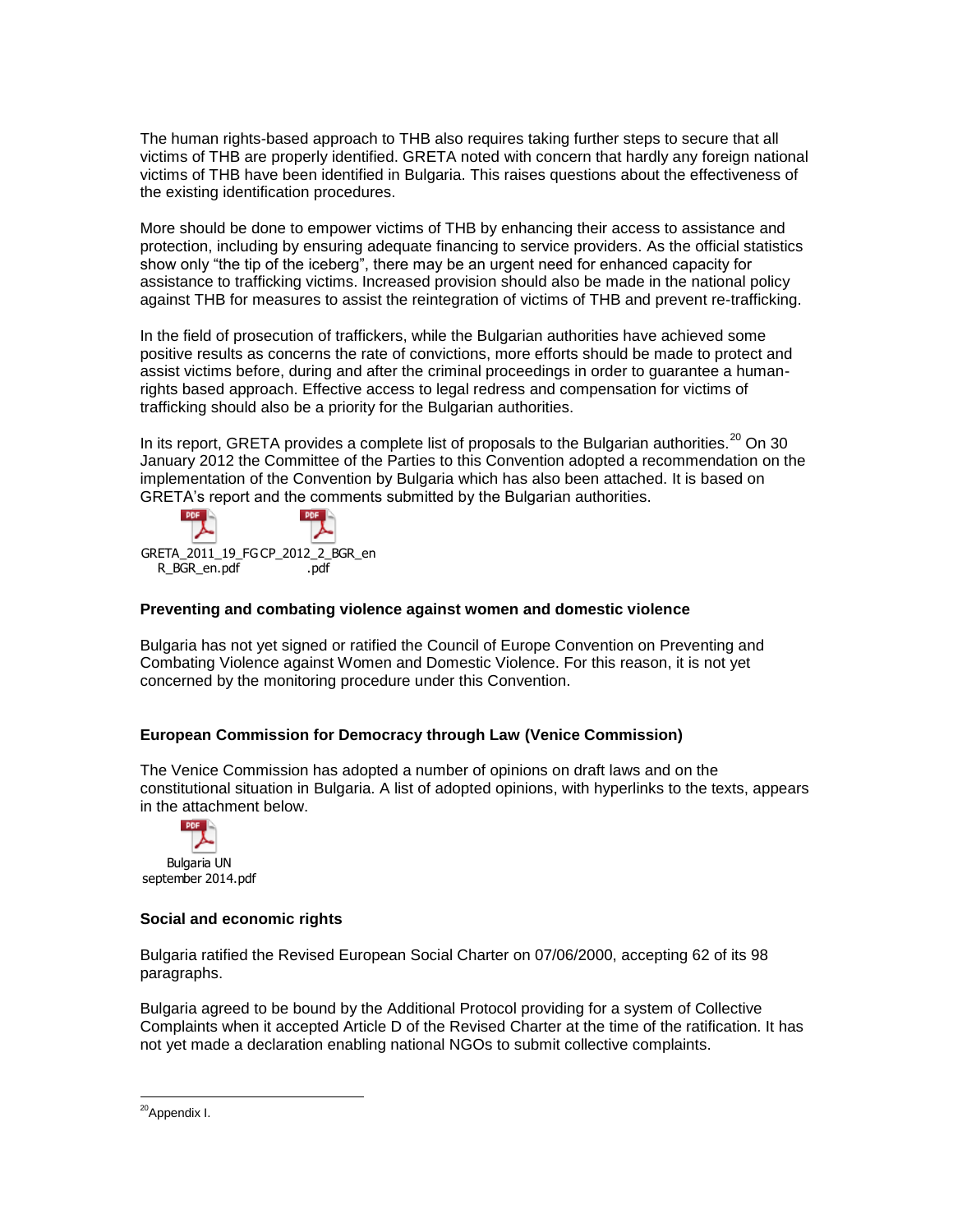The human rights-based approach to THB also requires taking further steps to secure that all victims of THB are properly identified. GRETA noted with concern that hardly any foreign national victims of THB have been identified in Bulgaria. This raises questions about the effectiveness of the existing identification procedures.

More should be done to empower victims of THB by enhancing their access to assistance and protection, including by ensuring adequate financing to service providers. As the official statistics show only "the tip of the iceberg", there may be an urgent need for enhanced capacity for assistance to trafficking victims. Increased provision should also be made in the national policy against THB for measures to assist the reintegration of victims of THB and prevent re-trafficking.

In the field of prosecution of traffickers, while the Bulgarian authorities have achieved some positive results as concerns the rate of convictions, more efforts should be made to protect and assist victims before, during and after the criminal proceedings in order to guarantee a humanrights based approach. Effective access to legal redress and compensation for victims of trafficking should also be a priority for the Bulgarian authorities.

In its report, GRETA provides a complete list of proposals to the Bulgarian authorities.<sup>20</sup> On 30 January 2012 the Committee of the Parties to this Convention adopted a recommendation on the implementation of the Convention by Bulgaria which has also been attached. It is based on GRETA's report and the comments submitted by the Bulgarian authorities.



### **Preventing and combating violence against women and domestic violence**

Bulgaria has not yet signed or ratified the Council of Europe Convention on Preventing and Combating Violence against Women and Domestic Violence. For this reason, it is not yet concerned by the monitoring procedure under this Convention.

### **European Commission for Democracy through Law (Venice Commission)**

The Venice Commission has adopted a number of opinions on draft laws and on the constitutional situation in Bulgaria. A list of adopted opinions, with hyperlinks to the texts, appears in the attachment below.



### **Social and economic rights**

Bulgaria ratified the Revised European Social Charter on 07/06/2000, accepting 62 of its 98 paragraphs.

Bulgaria agreed to be bound by the Additional Protocol providing for a system of Collective Complaints when it accepted Article D of the Revised Charter at the time of the ratification. It has not yet made a declaration enabling national NGOs to submit collective complaints.

 $\overline{a}$ <sup>20</sup>Appendix I.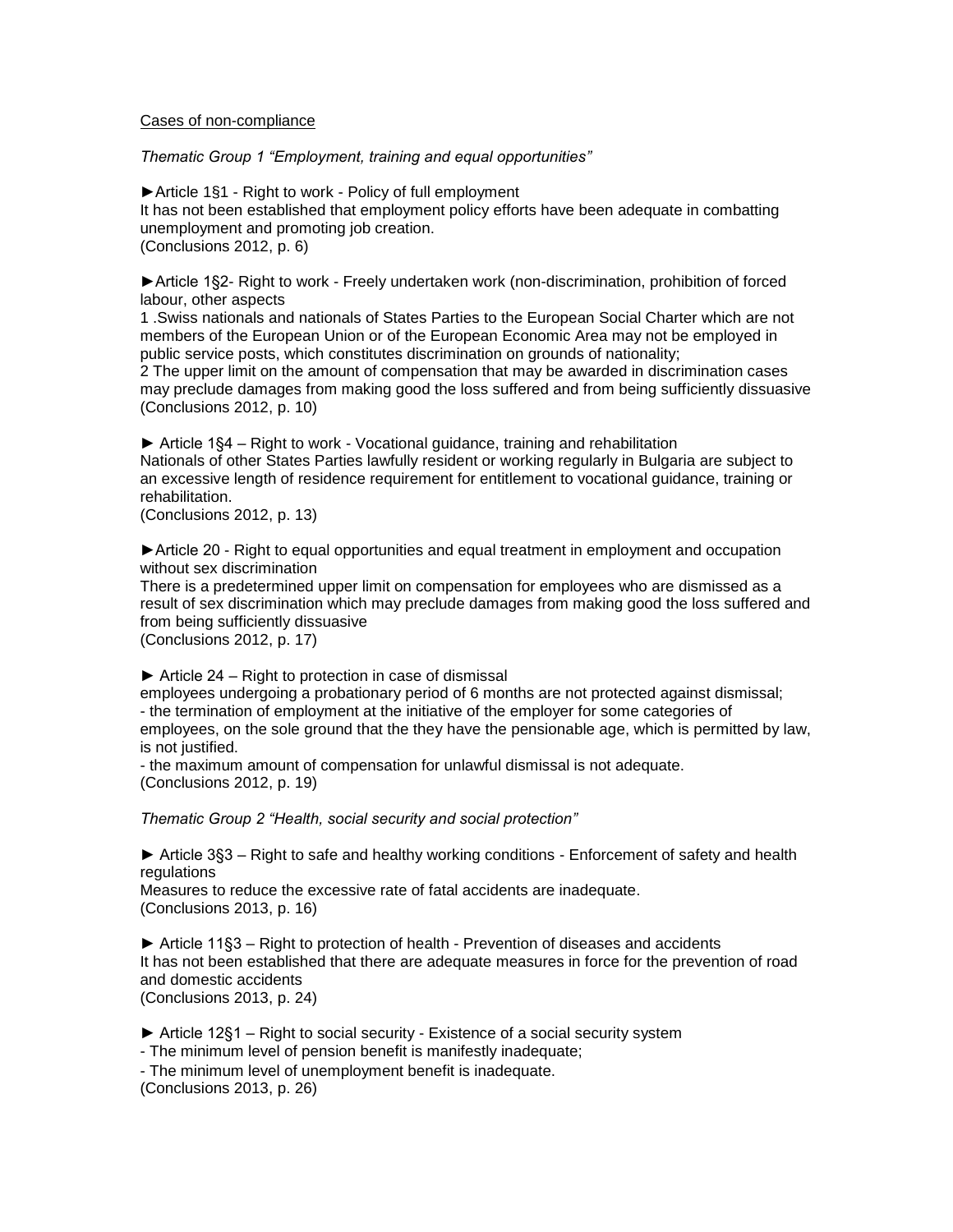#### Cases of non-compliance

*Thematic Group 1 "Employment, training and equal opportunities"* 

►Article 1§1 - Right to work - Policy of full employment It has not been established that employment policy efforts have been adequate in combatting unemployment and promoting job creation. (Conclusions 2012, p. 6)

►Article 1§2- Right to work - Freely undertaken work (non-discrimination, prohibition of forced labour, other aspects

1 .Swiss nationals and nationals of States Parties to the European Social Charter which are not members of the European Union or of the European Economic Area may not be employed in public service posts, which constitutes discrimination on grounds of nationality;

2 The upper limit on the amount of compensation that may be awarded in discrimination cases may preclude damages from making good the loss suffered and from being sufficiently dissuasive (Conclusions 2012, p. 10)

► Article 1§4 – Right to work - Vocational guidance, training and rehabilitation Nationals of other States Parties lawfully resident or working regularly in Bulgaria are subject to an excessive length of residence requirement for entitlement to vocational guidance, training or rehabilitation.

(Conclusions 2012, p. 13)

► Article 20 - Right to equal opportunities and equal treatment in employment and occupation without sex discrimination

There is a predetermined upper limit on compensation for employees who are dismissed as a result of sex discrimination which may preclude damages from making good the loss suffered and from being sufficiently dissuasive

(Conclusions 2012, p. 17)

 $\triangleright$  Article 24 – Right to protection in case of dismissal

employees undergoing a probationary period of 6 months are not protected against dismissal; - the termination of employment at the initiative of the employer for some categories of employees, on the sole ground that the they have the pensionable age, which is permitted by law, is not justified.

- the maximum amount of compensation for unlawful dismissal is not adequate. (Conclusions 2012, p. 19)

*Thematic Group 2 "Health, social security and social protection"* 

► Article 3§3 – Right to safe and healthy working conditions - Enforcement of safety and health regulations

Measures to reduce the excessive rate of fatal accidents are inadequate. (Conclusions 2013, p. 16)

► Article 11§3 – Right to protection of health - Prevention of diseases and accidents It has not been established that there are adequate measures in force for the prevention of road and domestic accidents (Conclusions 2013, p. 24)

► Article 12§1 – Right to social security - Existence of a social security system

- The minimum level of pension benefit is manifestly inadequate;

- The minimum level of unemployment benefit is inadequate.

(Conclusions 2013, p. 26)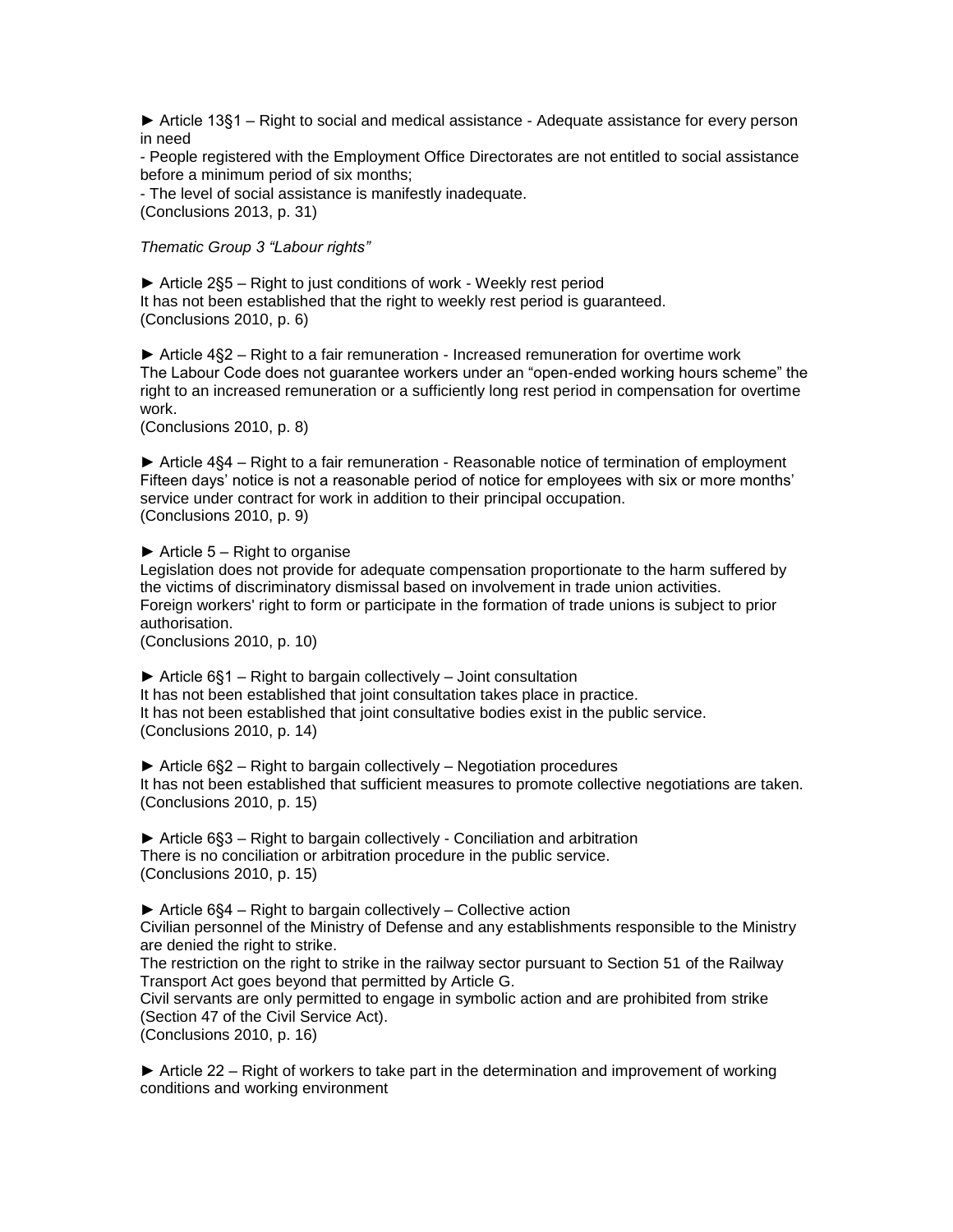► Article 13§1 – Right to social and medical assistance - Adequate assistance for every person in need

- People registered with the Employment Office Directorates are not entitled to social assistance before a minimum period of six months;

- The level of social assistance is manifestly inadequate. (Conclusions 2013, p. 31)

*Thematic Group 3 "Labour rights"* 

► Article 2§5 – Right to just conditions of work - Weekly rest period It has not been established that the right to weekly rest period is guaranteed. (Conclusions 2010, p. 6)

► Article 4§2 – Right to a fair remuneration - Increased remuneration for overtime work The Labour Code does not guarantee workers under an "open-ended working hours scheme" the right to an increased remuneration or a sufficiently long rest period in compensation for overtime work.

(Conclusions 2010, p. 8)

► Article 4§4 – Right to a fair remuneration - Reasonable notice of termination of employment Fifteen days' notice is not a reasonable period of notice for employees with six or more months' service under contract for work in addition to their principal occupation. (Conclusions 2010, p. 9)

 $\blacktriangleright$  Article 5 – Right to organise Legislation does not provide for adequate compensation proportionate to the harm suffered by the victims of discriminatory dismissal based on involvement in trade union activities. Foreign workers' right to form or participate in the formation of trade unions is subject to prior authorisation.

(Conclusions 2010, p. 10)

 $\triangleright$  Article 6§1 – Right to bargain collectively – Joint consultation It has not been established that joint consultation takes place in practice. It has not been established that joint consultative bodies exist in the public service. (Conclusions 2010, p. 14)

► Article 6§2 – Right to bargain collectively – Negotiation procedures It has not been established that sufficient measures to promote collective negotiations are taken. (Conclusions 2010, p. 15)

► Article 6§3 – Right to bargain collectively - Conciliation and arbitration There is no conciliation or arbitration procedure in the public service. (Conclusions 2010, p. 15)

► Article 6§4 – Right to bargain collectively – Collective action Civilian personnel of the Ministry of Defense and any establishments responsible to the Ministry are denied the right to strike.

The restriction on the right to strike in the railway sector pursuant to Section 51 of the Railway Transport Act goes beyond that permitted by Article G.

Civil servants are only permitted to engage in symbolic action and are prohibited from strike (Section 47 of the Civil Service Act).

(Conclusions 2010, p. 16)

► Article 22 – Right of workers to take part in the determination and improvement of working conditions and working environment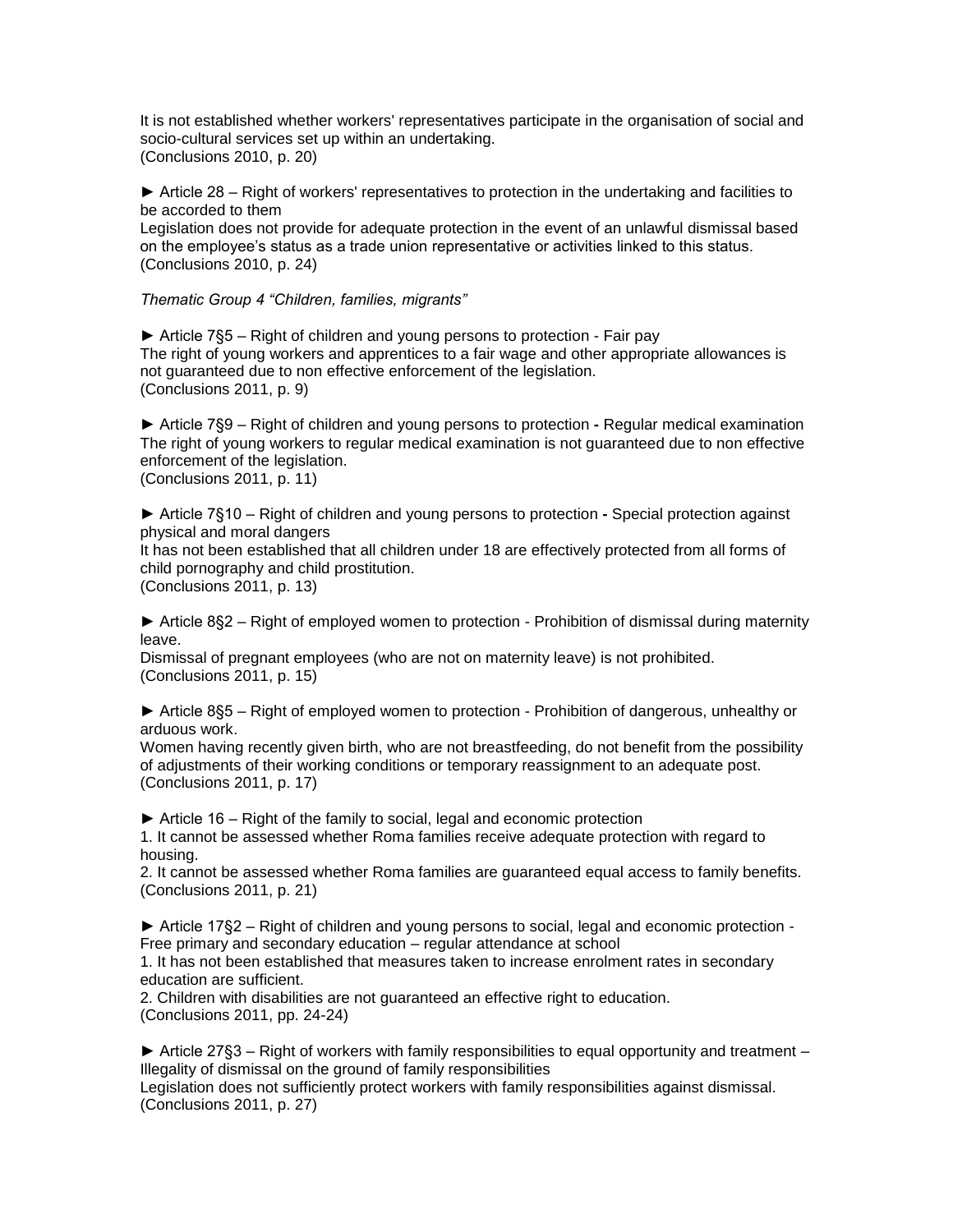It is not established whether workers' representatives participate in the organisation of social and socio-cultural services set up within an undertaking. (Conclusions 2010, p. 20)

► Article 28 – Right of workers' representatives to protection in the undertaking and facilities to be accorded to them

Legislation does not provide for adequate protection in the event of an unlawful dismissal based on the employee's status as a trade union representative or activities linked to this status. (Conclusions 2010, p. 24)

*Thematic Group 4 "Children, families, migrants"* 

► Article 7§5 – Right of children and young persons to protection - Fair pay The right of young workers and apprentices to a fair wage and other appropriate allowances is not guaranteed due to non effective enforcement of the legislation. (Conclusions 2011, p. 9)

► Article 7§9 – Right of children and young persons to protection **-** Regular medical examination The right of young workers to regular medical examination is not guaranteed due to non effective enforcement of the legislation. (Conclusions 2011, p. 11)

► Article 7§10 – Right of children and young persons to protection **-** Special protection against physical and moral dangers

It has not been established that all children under 18 are effectively protected from all forms of child pornography and child prostitution.

(Conclusions 2011, p. 13)

► Article 8§2 – Right of employed women to protection - Prohibition of dismissal during maternity leave.

Dismissal of pregnant employees (who are not on maternity leave) is not prohibited. (Conclusions 2011, p. 15)

► Article 8§5 – Right of employed women to protection - Prohibition of dangerous, unhealthy or arduous work.

Women having recently given birth, who are not breastfeeding, do not benefit from the possibility of adjustments of their working conditions or temporary reassignment to an adequate post. (Conclusions 2011, p. 17)

► Article 16 – Right of the family to social, legal and economic protection

1. It cannot be assessed whether Roma families receive adequate protection with regard to housing.

2. It cannot be assessed whether Roma families are guaranteed equal access to family benefits. (Conclusions 2011, p. 21)

► Article 17§2 – Right of children and young persons to social, legal and economic protection - Free primary and secondary education – regular attendance at school

1. It has not been established that measures taken to increase enrolment rates in secondary education are sufficient.

2. Children with disabilities are not guaranteed an effective right to education. (Conclusions 2011, pp. 24-24)

 $\blacktriangleright$  Article 27§3 – Right of workers with family responsibilities to equal opportunity and treatment – Illegality of dismissal on the ground of family responsibilities

Legislation does not sufficiently protect workers with family responsibilities against dismissal. (Conclusions 2011, p. 27)